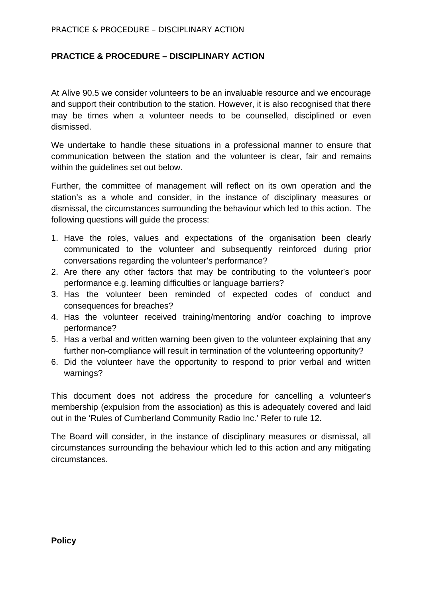## **PRACTICE & PROCEDURE – DISCIPLINARY ACTION**

At Alive 90.5 we consider volunteers to be an invaluable resource and we encourage and support their contribution to the station. However, it is also recognised that there may be times when a volunteer needs to be counselled, disciplined or even dismissed.

We undertake to handle these situations in a professional manner to ensure that communication between the station and the volunteer is clear, fair and remains within the guidelines set out below.

Further, the committee of management will reflect on its own operation and the station's as a whole and consider, in the instance of disciplinary measures or dismissal, the circumstances surrounding the behaviour which led to this action. The following questions will guide the process:

- 1. Have the roles, values and expectations of the organisation been clearly communicated to the volunteer and subsequently reinforced during prior conversations regarding the volunteer's performance?
- 2. Are there any other factors that may be contributing to the volunteer's poor performance e.g. learning difficulties or language barriers?
- 3. Has the volunteer been reminded of expected codes of conduct and consequences for breaches?
- 4. Has the volunteer received training/mentoring and/or coaching to improve performance?
- 5. Has a verbal and written warning been given to the volunteer explaining that any further non-compliance will result in termination of the volunteering opportunity?
- 6. Did the volunteer have the opportunity to respond to prior verbal and written warnings?

This document does not address the procedure for cancelling a volunteer's membership (expulsion from the association) as this is adequately covered and laid out in the 'Rules of Cumberland Community Radio Inc.' Refer to rule 12.

The Board will consider, in the instance of disciplinary measures or dismissal, all circumstances surrounding the behaviour which led to this action and any mitigating circumstances.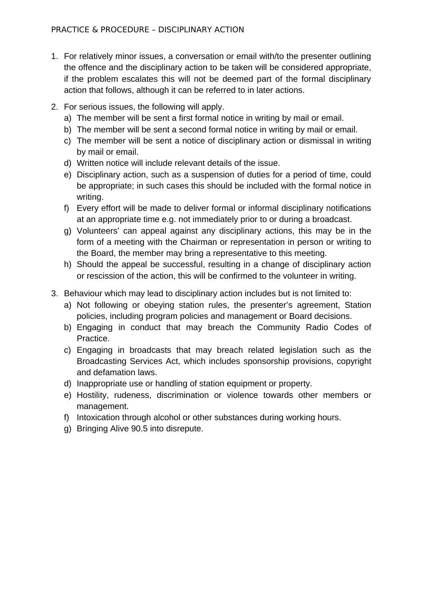- 1. For relatively minor issues, a conversation or email with/to the presenter outlining the offence and the disciplinary action to be taken will be considered appropriate, if the problem escalates this will not be deemed part of the formal disciplinary action that follows, although it can be referred to in later actions.
- 2. For serious issues, the following will apply.
	- a) The member will be sent a first formal notice in writing by mail or email.
	- b) The member will be sent a second formal notice in writing by mail or email.
	- c) The member will be sent a notice of disciplinary action or dismissal in writing by mail or email.
	- d) Written notice will include relevant details of the issue.
	- e) Disciplinary action, such as a suspension of duties for a period of time, could be appropriate; in such cases this should be included with the formal notice in writing.
	- f) Every effort will be made to deliver formal or informal disciplinary notifications at an appropriate time e.g. not immediately prior to or during a broadcast.
	- g) Volunteers' can appeal against any disciplinary actions, this may be in the form of a meeting with the Chairman or representation in person or writing to the Board, the member may bring a representative to this meeting.
	- h) Should the appeal be successful, resulting in a change of disciplinary action or rescission of the action, this will be confirmed to the volunteer in writing.
- 3. Behaviour which may lead to disciplinary action includes but is not limited to:
	- a) Not following or obeying station rules, the presenter's agreement, Station policies, including program policies and management or Board decisions.
	- b) Engaging in conduct that may breach the Community Radio Codes of Practice.
	- c) Engaging in broadcasts that may breach related legislation such as the Broadcasting Services Act, which includes sponsorship provisions, copyright and defamation laws.
	- d) Inappropriate use or handling of station equipment or property.
	- e) Hostility, rudeness, discrimination or violence towards other members or management.
	- f) Intoxication through alcohol or other substances during working hours.
	- g) Bringing Alive 90.5 into disrepute.